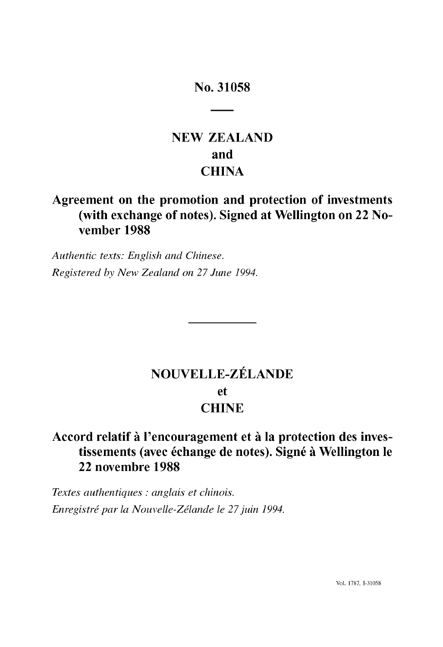# No. 31058

# **NEW ZEALAND and CHINA**

# **Agreement on the promotion and protection of investments (with exchange** of notes). **Signed at Wellington on 22 November 1988**

*Authentic texts: English and Chinese. Registered by New Zealand on* 27 *June 1994.* 

# **NOUVELLE-ZELANDE et CHINE**

# Accord relatif à l'encouragement et à la protection des inves**tissements (avec echange de notes). Signe it Wellington Ie 22 novembre 1988**

*Textes authentiques* : *anglais et chinois. Enregistre par la Nouvelle-Zelande le* 27 *juin 1994.*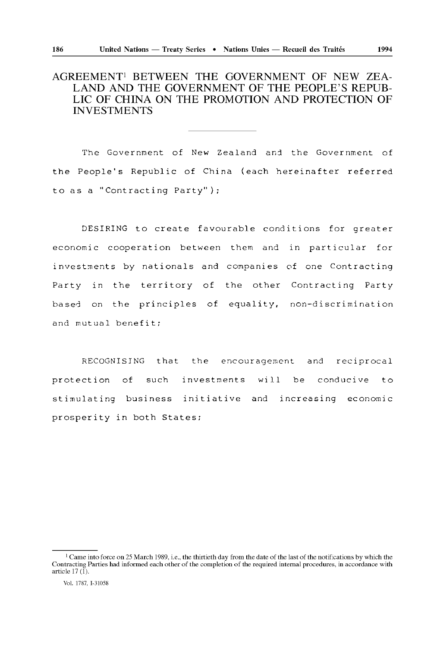# **AGREEMENT! BETWEEN THE GOVERNMENT OF NEW ZEA-LAND AND THE GOVERNMENT OF THE PEOPLE'S REPUB-LIC OF CHINA ON THE PROMOTION AND PROTECTION OF INVESTMENTS**

The Government of New Zealand and the Government of the People's Republic of China (each hereinafter referred to as a "Contracting Party");

DESIRING to create favourable conditions for greater economic cooperation between them and in particular for investments by nationals and companies of one Contracting Party in the territory of the other Contracting Party based on the principles of equality, non-discrimination and mutual benefit;

RECOGNISING that the encouragement and reciprocal protection of such investments will be conducive to stimulating business initiative and increasing economic prosperity in both States;

<sup>&</sup>lt;sup>1</sup> Came into force on 25 March 1989, i.e., the thirtieth day from the date of the last of the notifications by which the Contracting Parties had informed each other of the completion of the required internal procedures, in accordance with article 17 (1).

Vol. 1787, 1-31058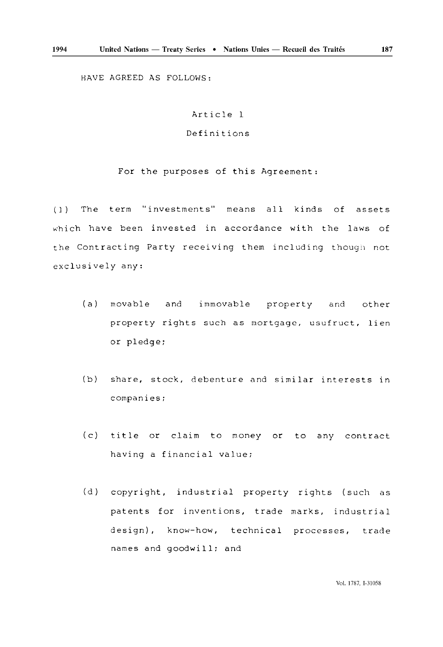HAVE AGREED AS FOLLOWS:

## Article 1

# Definitions

For the purposes of this Agreement:

(1) The term "investments" means all kinds of assets which have been invested in accordance with the laws of the Contracting Party receiving them including though not exclusively any:

- (a) movable and immovable property and other property rights such as mortgage, usufruct, lien or pledge;
- (b) share, stock, debenture and similar interests in companies;
- ( c) title or claim to money or to any contract having a financial value;
- (d) copyright, industrial property rights (such as patents for inventions, trade marks, industrial design), know-how, technical processes, trade names and goodwill; and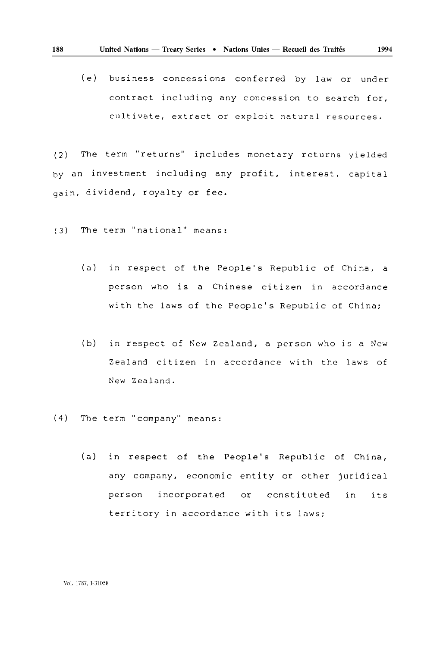(e) business concessions conferred by law or under contract including any concession to search for, cultivate, extract or exploit natural resources.

(2) The term "returns" ircludes monetary returns yielded by an investment including any profit, interest, capital gain, dividend, royalty or fee.

(3) The term "national" means:

- (a) in respect of the People's Republic of China, a person who is a Chinese citizen in accordance with the laws of the People's Republic of China;
- (b) in respect of New Zealand, a person who is a New Zealand citizen in accordance with the laws of New Zealand.
- (4) The term "company" means:
	- (a) in respect of the People's Republic of China, any company, economic entity or other juridical person incorporated or constituted in its territory in accordance with its laws;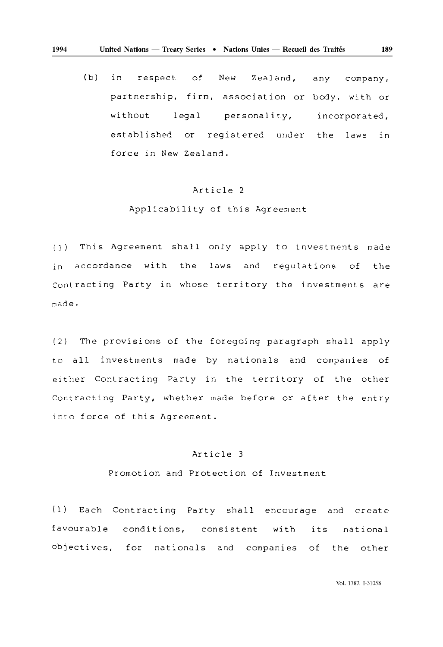(b) in respect of New Zealand, any company, partnership, firm, association or body, with or without legal personality, incorporated, established or registered under the laws in force in New Zealand.

#### Article 2

#### Applicability of this Agreement

(1) This Agreement shall only apply to investments made in accordance with the laws and regulations of the Contracting Party in whose territory the investments are made.

(2) The provisions of the foregoing paragraph shall apply to all investments made by nationals and companies of either Contracting Party in the territory of the other Contracting Party, whether made before or after the entry into force of this Agreement.

#### Article 3

Promotion and Protection of Investment

(1) Each Contracting Party shall encourage and create favourable conditions, consistent with its national objectives, for nationals and companies of the other

**1994**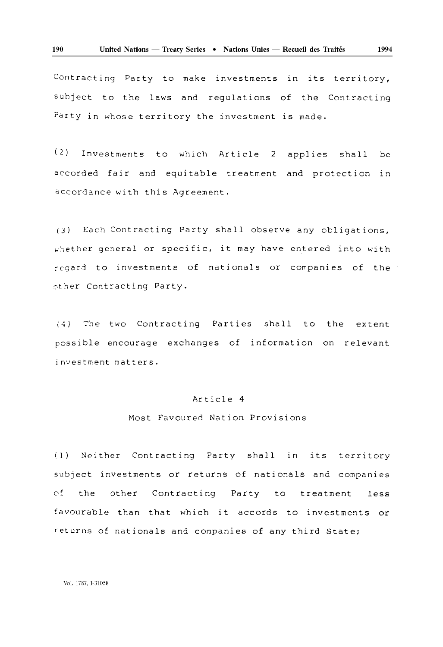Contracting Party to make investments in its territory, subject to the laws and regulations of the Contracting Party in whose territory the investment is made.

( 2) Investments to which Article 2 applies shall be accorded fair and equitable treatment and protection in accordance with this Agreement.

(3) Each Contracting Party shall observe any obligations,  $\kappa$ ) whether general or specific, it may have entered into with regard to investments of nationals or companies of the other contracting Party.

(4) The two Contracting Parties shall to the extent possible encourage exchanges of information on relevant investment matters.

#### Article 4

#### Most Favoured Nation Provisions

( 1 ) Neither Contracting Party shall in its territory subject investments or returns of nationals and companies of the other Contracting Party to treatment less favourable than that which it accords to investments or returns of nationals and companies of any third State;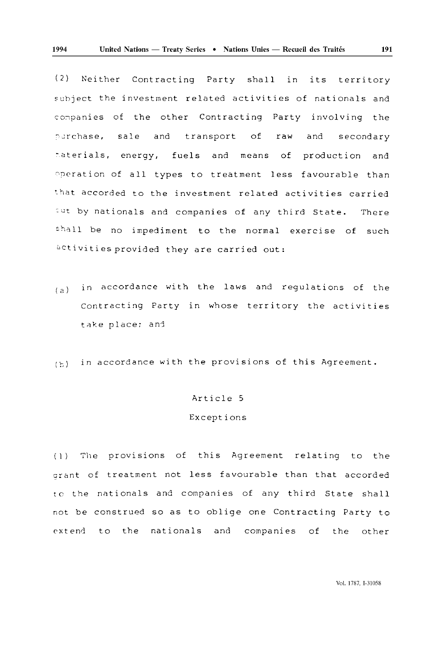( 2) Neither Contracting Party shall in its territory subject the investment related activities of nationals and companies of the other Contracting Party involving the purchase, sale and transport of raw and secondary materials, energy, fuels and means of production and Operation of all types to treatment less favourable than that accorded to the investment related activities carried aut by nationals and companies of any third State. There shall be no impediment to the normal exercise of such activities provided they are carried out:

 $(a)$  in accordance with the laws and regulations of the Contracting Party in whose territory the activities take place; and

(~) in accordance with the provisions of this Agreement.

# Article 5

### Exceptions

(1) The provisions of this Agreement relating to the grant of treatment not less favourable than that accorded to the nationals and companies of any third State shall not be construed so as to oblige one Contracting Party to extend to the nationals and companies of the other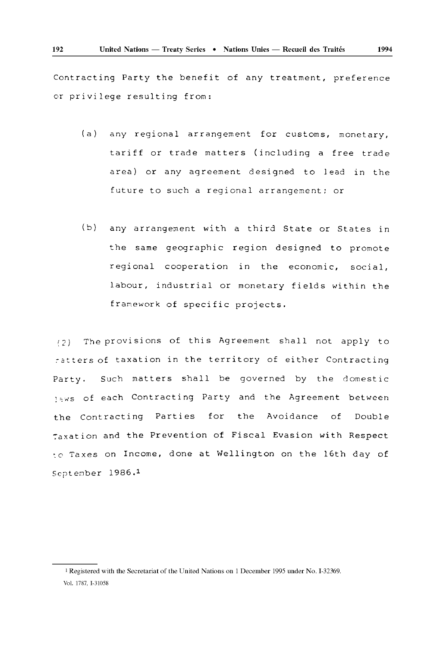Contracting Party the benefit of any treatment, preference or privilege resulting from:

- (a) any regional arrangement for customs, monetary, tariff or trade matters (including a free trade area) or any agreement designed to lead in the future to such a regional arrangement: or
- (b) any arrangement with a third State or States in the same geographic region designed to promote regional cooperation in the economic, social, labour, industrial or monetary fields within the framework of specific projects.

(2) The provisions of this Agreement shall not apply to :-2tters of taxation in the territory of either Contracting Party. Such matters shall be governed by the domestic 15ws of each Contracting Party and the Agreement between the Contracting Parties for the Avoidance of Double ~axation and the Prevention of Fiscal Evasion with Respect ~o Taxes on Income, done at Wellington on the 16th day of September 1986.<sup>1</sup>

<sup>1</sup> Registered with the Secretariat of the United Nations on 1 December 1995 under No. 1-32369. Vol. 1787. 1-31058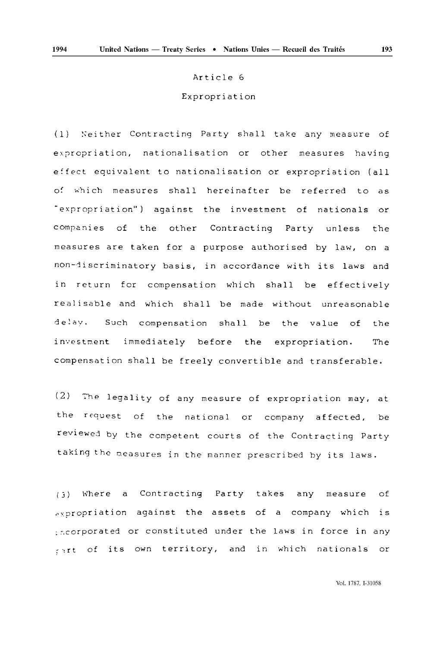#### Article 6

### Expropriation

(1) Neither Contracting Party shall take any measure of expropriation, nationalisation or other measures having e:fect equivalent to nationalisation or expropriation (all of which measures shall hereinafter be referred to as "expropriation") against the investment of nationals or companies of the other Contracting Party unless the measures are taken for a purpose authorised by law, on a non-discriminatory basis, in accordance with its laws and in return for compensation which shall be effectively realisable and which shall be made without unreasonable delay. Such compensation shall be the value of investment immediately before the expropriation. the The compensation shall be freely convertible and transferable.

(2) The legality of any measure of expropriation may, at the request of the national or company affected, be reviewed by the competent courts of the Contracting Party taking the measures in the manner prescribed by its laws.

 $(3)$  Where a Contracting Party takes any measure of  $\alpha$ , propriation against the assets of a company which is : norporated or constituted under the laws in force in any rant of its own territory, and in which nationals or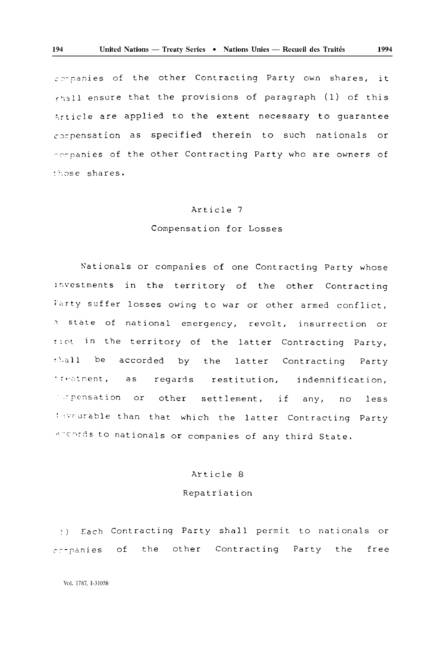cepanies of the other Contracting Party own shares, it  $_{\text{child}}$  ensure that the provisions of paragraph (1) of this Article are applied to the extent necessary to guarantee compensation as specified therein to such nationals or -0~panies of the other Contracting Party who are owners of <sup>~</sup>;'.OS e shares.

#### Article 7

### Compensation for Losses

Nationals or companies of one Contracting Party whose lnvestments in the territory of the other Contracting Farty suffer losses owing to war or other armed conflict, state of national emergency, revolt, insurrection or : not in the territory of the latter Contracting Party, shall be accorded by the latter Contracting Party : reatment, as or other settlement, if any, no less regards restitution, indemnification, ,':,-urcble than that which the latter Contracting Party ~-c~rjs to nationals or companies of any third State.

# Article 8

## Repatriation

:) Each Contracting Party shall permit to nationals or companies of the other Contracting Party the free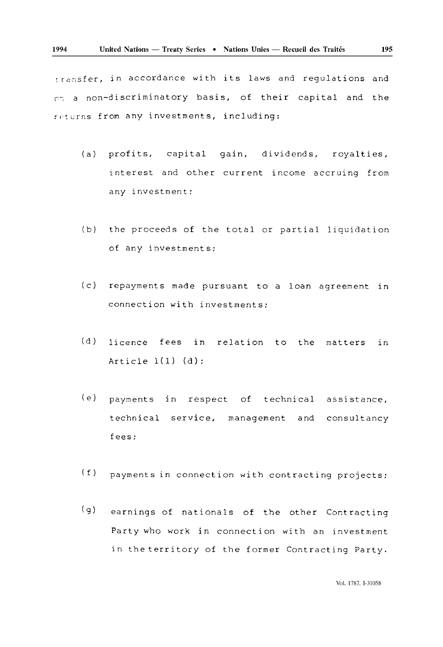transfer, in accordance with its laws and regulations and r.~ a non-discriminatory basis, of their capital and the returns from any investments, including:

- (a) profits, capital gain, dividends, royalties, interest and other current income accruing from any investment;
- (b) the proceeds of the total or partial liquidation of any investments;
- (c) repayments made pursuant to a loan agreement in connection with investments;
- $(d)$ licence fees in relation to the matters in Article  $1(1)$   $(d)$ ;
- $(e)$ payments in respect of technical assistance, technical service, management and consultancy fees;
- (f) payments in connection with contracting projects;
- (g) earnings of nationals of the other Contracting Party who work in connection with an investment in theterritory of the former Contracting Party.

Vol. 1787, 1-31058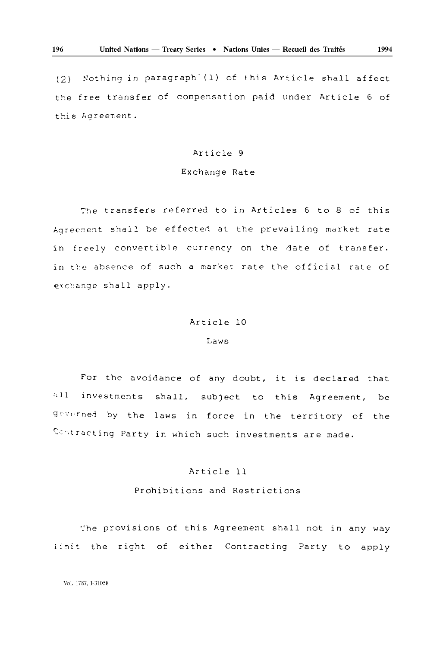(2) Nothing in paragraph' (1) of this Article shall affect the free transfer of compensation paid under Article 6 of this Agreement.

## Article 9

## Exchange Rate

The transfers referred to in Articles 6 to 8 of this Agreement shall be effected at the prevailing market rate in freely convertible currency on the date of transfer. in the absence of such a market rate the official rate of exchange shall apply.

#### Article 10

#### Laws

 $, 11, 11$ For the avoidance of any doubt, it is declared that investments shall, subject to this Agreement, be geverned by the laws in force in the territory of the Cc~tracting Party in which such investments are made.

## Article 11

Prohibitions and Restrictions

The provisions of this Agreement shall not in any way limit the right of either Contracting Party to apply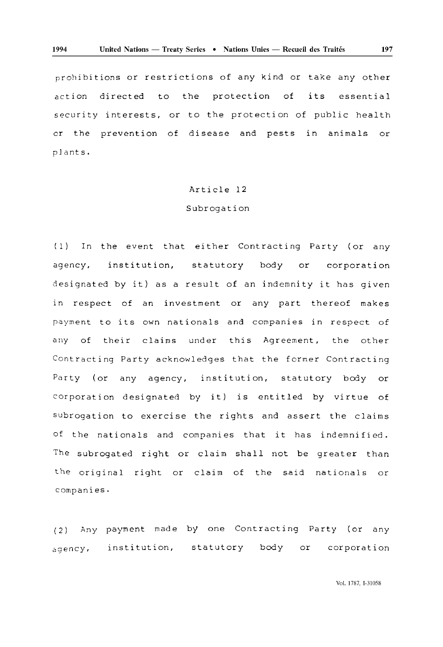prohibitions or restrictions of any kind or take any other action directed to the protection of security interests, or to the protection of public health its essential cr the prevention of disease and pests in animals or plants.

#### Article 12

#### Subrogation

(1) In the event that either Contracting Party (or any agency, institution, statutory body or corporation designated by it) as a result of an indemnity it has given in respect of an investment or any part thereof makes payment to its own nationals and companies in respect of any of their claims under this Agreement, the other Contracting Party acknowledges that the former Contracting Party (or any agency, institution, statutory body or corporation designated by it) is entitled by virtue of subrogation to exercise the rights and assert the claims of the nationals and companies that it has indemnified. The subrogated right or claim shall not be greater than the original right or claim of the said nationals or companies.

(2) Any payment made by one Contracting Party (or any agency, institution, statutory body or corporation

Vol. 1787, 1-31058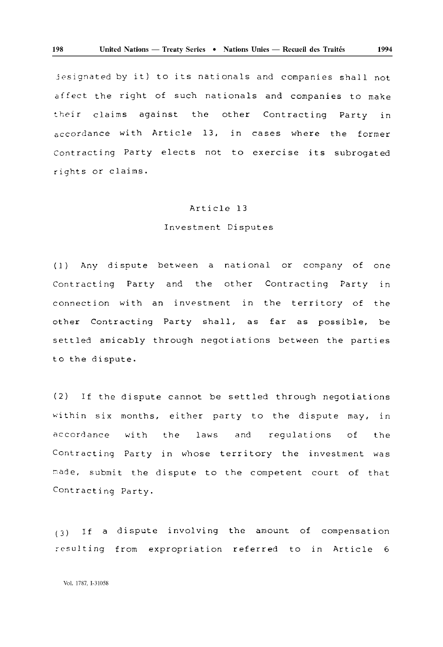jesignated by it) to its nationals and companies shall not effect the right of such nationals and companies to make their claims against the other Contracting Party in accordance with Article 13, in cases where the former Contracting Party elects not to exercise its subrogated rights or claims.

#### Article 13

## Investment Disputes

(1) Any dispute between a national or company of one Contracting Party and the other Contracting Party in connection with an investment in the territory of the other Contracting Party shall, as far as possible, be settled amicably through negotiations between the parties to the dispute.

(2) If the dispute cannot be settled through negotiations within six months, either party to the dispute may, in accordance with the laws and requlations of the Contracting Party in whose territory the investment was made, submit the dispute to the competent court of that Contracting Party.

(3) If a dispute involving the amount of compensation resulting from expropriation referred to in Article 6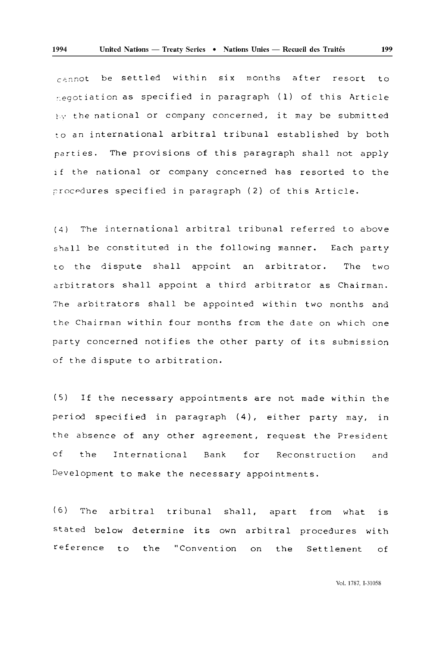$c$ 2nnot be settled within six months after resort to :.egotiation as specified in paragraph (1) of this Article  $E_{\rm V}$  the national or company concerned, it may be submitted to an international arbitral tribunal established by both parties. The provisions of this paragraph shall not apply if the national or company concerned has resorted to the procedures specified in paragraph (2) of this Article.

(4) The international arbitral tribunal referred to above shall be constituted in the following manner. Each party to the dispute shall appoint an arbitrator. arbitrators shall appoint a third arbitrator as Chairman. The two The arbitrators shall be appointed within two months and the Chairman within four months from the date on which one party concerned notifies the other party of its submission of the dispute to arbitration.

(5) If the necessary appointments are not made within the period specified in paragraph (4), either party may, in the absence of any other agreement, request the President of the International Bank for Reconstruction and Development to make the necessary appointments.

( 6) The arbitral tribunal shall, apart from what is stated below determine its own arbitral procedures with reference to the "Convention on the Settlement of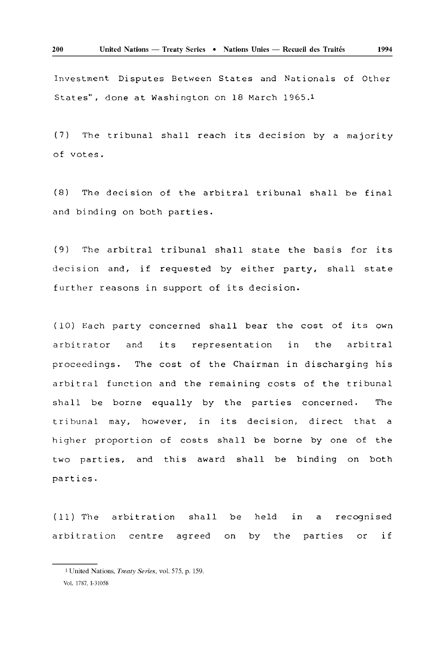Investment Disputes Between States and Nationals of Other States", done at Washington on 18 March 1965. <sup>1</sup>

(7) The tribunal shall reach its decision by a majority of votes.

(8) The decision of the arbitral tribunal shall be final and binding on both parties.

(9) The arbitral tribunal shall state the basis for its decision and, if requested by either party, shall state further reasons in support of its decision.

(10) Each party concerned shall bear the cost of its own arbitrator and its representation in the arbitral proceedings. The cost of the Chairman in discharging his arbitral function and the remaining costs of the tribunal shall be borne equally by the parties concerned. The tribunal may, however, in its decision, direct that a higher proportion of costs shall be borne by one of the two parties, and this award shall be binding on both parties.

( 11) The arbitration shall be arbitration centre agreed on in a recognised by the parties or if

<sup>1</sup> United Nations, *Treaty Series,* voL 575, p, 159, VoL 1787, 1-31058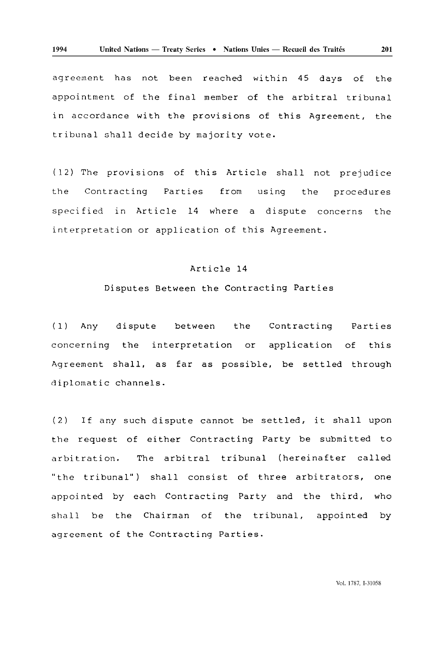agreement has not been reached within 45 days of the appointment of the final member of the arbitral tribunal in accordance with the provisions of this Agreement, the tribunal shall decide by majority vote.

(12) The provisions of this Article shall not prejudice the Contracting Parties from using the procedures specified 1n Article 14 where a dispute concerns the interpretation or application of this Agreement.

# Article 14

#### Disputes Between the Contracting Parties

(1) Any dispute concerning the interpretation or application between the Contracting Parties this Agreement shall, as far as possible, be settled through diplomatic channels.

(2) If any such dispute cannot be settled, it shall upon the request of either Contracting Party be submitted to arbitration. The arbitral tribunal (hereinafter called "the tribunal") shall consist of three arbitrators, one appointed by each Contracting Party and the third, who shall be the Chairman of the tribunal, appointed by agreement of the Contracting Parties.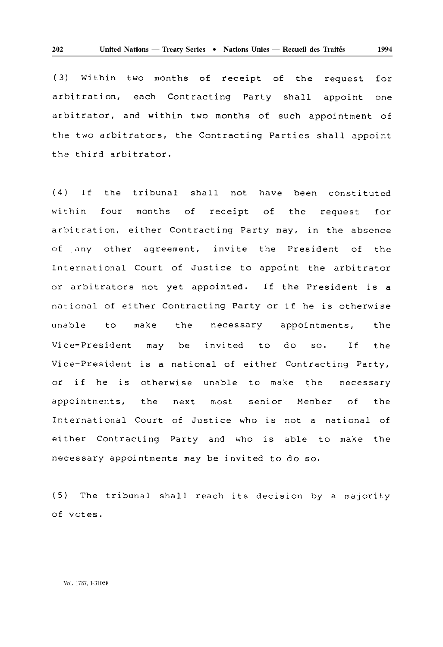(3) Within two months of receipt arbitration, each Contracting Party shall appoint arbitrator, and within two months of such appointment of the request for one the two arbitrators, the Contracting Parties shall appoint the third arbitrator.

(4 ) If the tribunal shall not have been constituted within four months of receipt of the request for arbitration, either Contracting Party may, in the absence of any other agreement, invite the President of the International Court of Justice to appoint the arbitrator or arbitrators not yet appointed. If the President is a national of either Contracting Party or if he is otherwise unable Vice-President may be to make the necessary invited to appointments, so. If the the Vice-President is a national of either Contracting Party, or if he is otherwise unable to make the necessary appointments, the next most senior Member of the International Court of Justice who is not a national of either Contracting Party and who is able to make the necessary appointments may be invited to do so.

(5) The tribunal shall reach its decision by a majority of votes.

Vol. 1787, 1-31058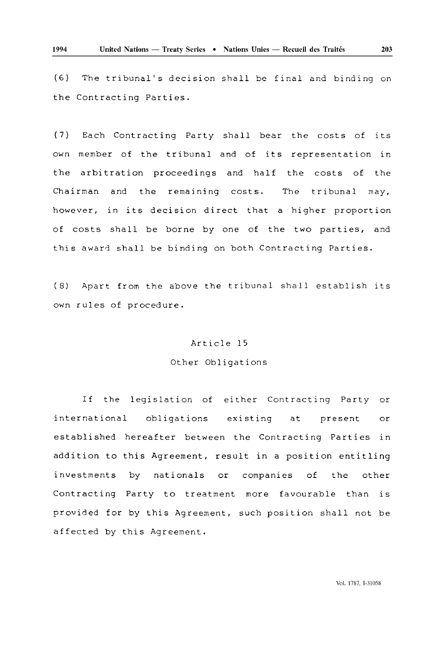(6) The tribunal's decision shall be final and binding on the Contracting Parties.

(7) Each Contracting Party shall bear the costs of its own member of the tribunal and of its representation in the arbitration proceedings and half the costs of the Chairman and the remaining costs. The tribunal may, however, in its decision direct that a higher proportion of costs shall be borne by one of the two parties, and this award shall be binding on both Contracting Parties.

(8) Apart from the above the tribunal shall establish its own rules of procedure.

#### Article 15

#### Other Obligations

If the legislation of either Contracting Party or international obligations existing at present or established hereafter between the Contracting Parties in addition to this Agreement, result in a position entitling investments by nationals or companies of the other Contracting Party to treatment more favourable than is provided for by this Agreement, such position shall not be affected by this Agreement.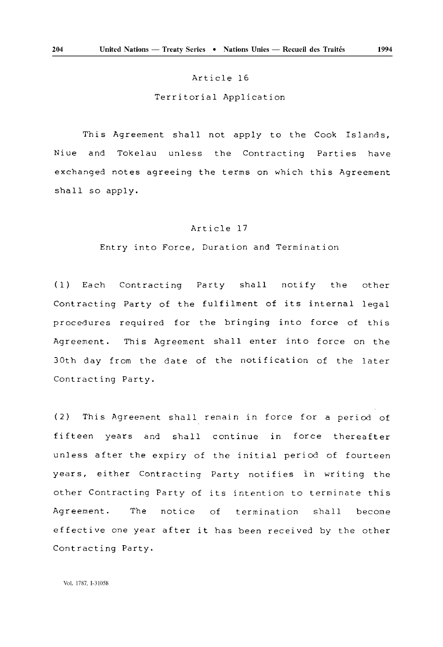#### Article 16

Territorial Application

This Agreement shall not apply to the Cook Islands, Niue and Tokelau unless the Contracting Parties have exchanged notes agreeing the terms on which this Agreement shall so apply.

# Article 17

Entry into Force, Duration and Termination

(1) Each Contracting Party shall notify the other Contracting Party of the fulfilment of its internal legal procedures required for the bringing into force of this Agreement. This Agreement shall enter into force on the 30th day from the date of the notification of the later Contracting Party.

(2) This Agreement shall remain in force for a period of fifteen years and shall continue in force thereafter unless after the expiry of the initial period of fourteen years, either Contracting Party notifies in writing the other Contracting Party of its intention to terminate this Agreement. The notice of termination shall become effective one year after it has been received by the other Contracting Party.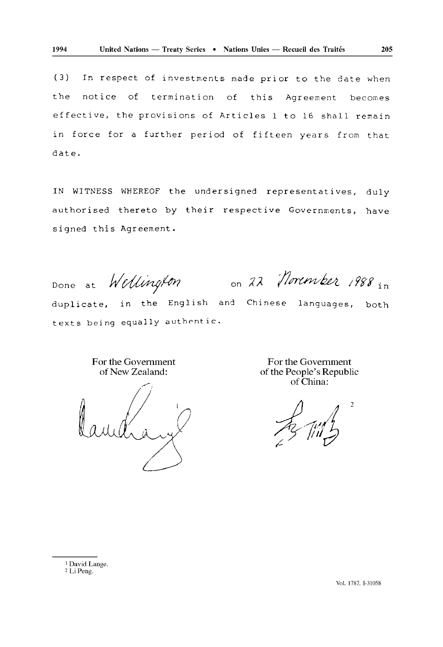(3) In respect of investments made prior to the date when the notice of termination of this Agreement becomes effective, the provisions of Articles 1 to 16 shall remain in force for a further period of fifteen years from that date.

IN WITNESS WHEREOF the undersigned representatives, duly authorised thereto by their respective Governments, have signed this Agreement.

Done at Wellington on 22 November 1988 in

duplicate, in the English and Chinese languages, both texts being equally authentic.

> For the Government of New Zealand:

For the Government of the People's Republic of China:

2 LiPeng.

2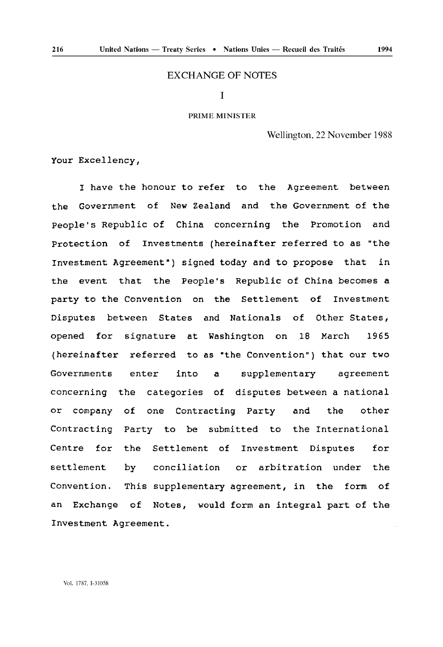## EXCHANGE OF NOTES

# I

#### PRIME MINISTER

Wellington, 22 November 1988

Your Excellency,

I have the honour to refer to the Agreement between the Government of New Zealand and the Government of the people's Republic of China concerning the Promotion and Protection of Investments (hereinafter referred to as "the Investment Agreement") signed today and to propose that in the event that the People's Republic of China becomes a party to the Convention on the Settlement of Investment Disputes between States and Nationals of Other States, opened for signature at Washington on 18 March 1965 (hereinafter referred to as "the Convention") that our two Governments enter into a supplementary agreement concerning the categories of disputes between a national or company of one Contracting Party and the other Contracting Party to be submitted to the International Centre for the Settlement of Investment Disputes for settlement by conciliation or arbitration under the Convention. This supplementary agreement, in the form of an Exchange of Notes, would form an integral part of the Investment Agreement.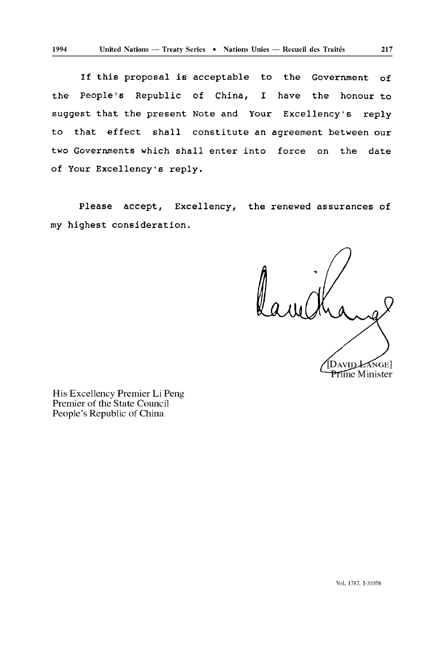If this proposal is acceptable to the Government of the people's Republic of China, I have the honour to suggest that the present Note and Your Excellency's reply to that effect shall constitute an agreement between our two Governments which shall enter into force on the date of Your Excellency's reply.

Please accept, Excellency, the renewed assurances of my highest consideration.

DAVID LANGE **Prime Minister** 

His Excellency Premier Li Peng Premier of the State Council People's Republic of China